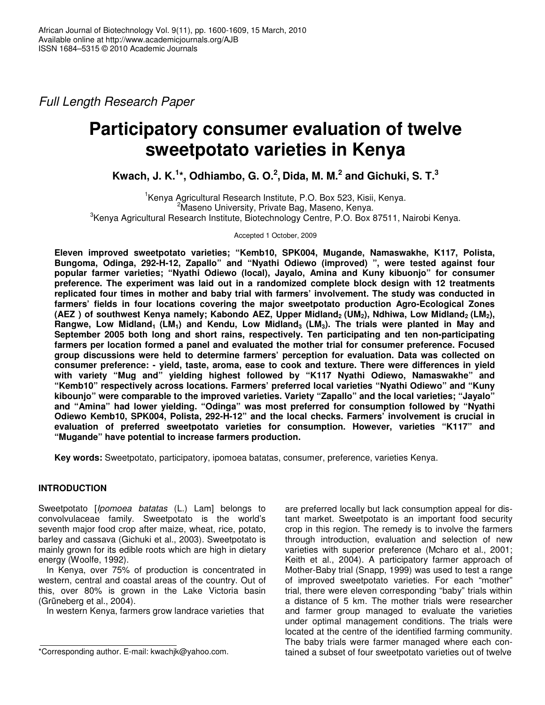*Full Length Research Paper*

# **Participatory consumer evaluation of twelve sweetpotato varieties in Kenya**

**Kwach, J. K. 1 \*, Odhiambo, G. O. 2 , Dida, M. M. 2 and Gichuki, S. T. 3**

<sup>1</sup>Kenya Agricultural Research Institute, P.O. Box 523, Kisii, Kenya. <sup>2</sup>Maseno University, Private Bag, Maseno, Kenya. 3 Kenya Agricultural Research Institute, Biotechnology Centre, P.O. Box 87511, Nairobi Kenya.

Accepted 1 October, 2009

**Eleven improved sweetpotato varieties; "Kemb10, SPK004, Mugande, Namaswakhe, K117, Polista, Bungoma, Odinga, 292-H-12, Zapallo" and "Nyathi Odiewo (improved) ", were tested against four popular farmer varieties; "Nyathi Odiewo (local), Jayalo, Amina and Kuny kibuonjo" for consumer preference. The experiment was laid out in a randomized complete block design with 12 treatments replicated four times in mother and baby trial with farmers' involvement. The study was conducted in farmers' fields in four locations covering the major sweetpotato production Agro-Ecological Zones** (AEZ) of southwest Kenya namely; Kabondo AEZ, Upper Midland, (UM<sub>2</sub>), Ndhiwa, Low Midland, (LM<sub>2</sub>), Rangwe, Low Midland<sub>1</sub> (LM<sub>1</sub>) and Kendu, Low Midland<sub>3</sub> (LM<sub>3</sub>). The trials were planted in May and **September 2005 both long and short rains, respectively. Ten participating and ten non-participating farmers per location formed a panel and evaluated the mother trial for consumer preference. Focused group discussions were held to determine farmers' perception for evaluation. Data was collected on consumer preference: - yield, taste, aroma, ease to cook and texture. There were differences in yield with variety "Mug and" yielding highest followed by "K117 Nyathi Odiewo, Namaswakhe" and "Kemb10" respectively across locations. Farmers' preferred local varieties "Nyathi Odiewo" and "Kuny kibounjo" were comparable to the improved varieties. Variety "Zapallo" and the local varieties; "Jayalo" and "Amina" had lower yielding. "Odinga" was most preferred for consumption followed by "Nyathi Odiewo Kemb10, SPK004, Polista, 292-H-12" and the local checks. Farmers' involvement is crucial in evaluation of preferred sweetpotato varieties for consumption. However, varieties "K117" and "Mugande" have potential to increase farmers production.**

**Key words:** Sweetpotato, participatory, ipomoea batatas, consumer, preference, varieties Kenya.

# **INTRODUCTION**

Sweetpotato [*Ipomoea batatas* (L.) Lam] belongs to convolvulaceae family. Sweetpotato is the world's seventh major food crop after maize, wheat, rice, potato, barley and cassava (Gichuki et al., 2003). Sweetpotato is mainly grown for its edible roots which are high in dietary energy (Woolfe, 1992).

In Kenya, over 75% of production is concentrated in western, central and coastal areas of the country. Out of this, over 80% is grown in the Lake Victoria basin (Grüneberg et al., 2004).

In western Kenya, farmers grow landrace varieties that

are preferred locally but lack consumption appeal for distant market. Sweetpotato is an important food security crop in this region. The remedy is to involve the farmers through introduction, evaluation and selection of new varieties with superior preference (Mcharo et al., 2001; Keith et al., 2004). A participatory farmer approach of Mother-Baby trial (Snapp, 1999) was used to test a range of improved sweetpotato varieties. For each "mother" trial, there were eleven corresponding "baby" trials within a distance of 5 km. The mother trials were researcher and farmer group managed to evaluate the varieties under optimal management conditions. The trials were located at the centre of the identified farming community. The baby trials were farmer managed where each contained a subset of four sweetpotato varieties out of twelve

<sup>\*</sup>Corresponding author. E-mail: kwachjk@yahoo.com.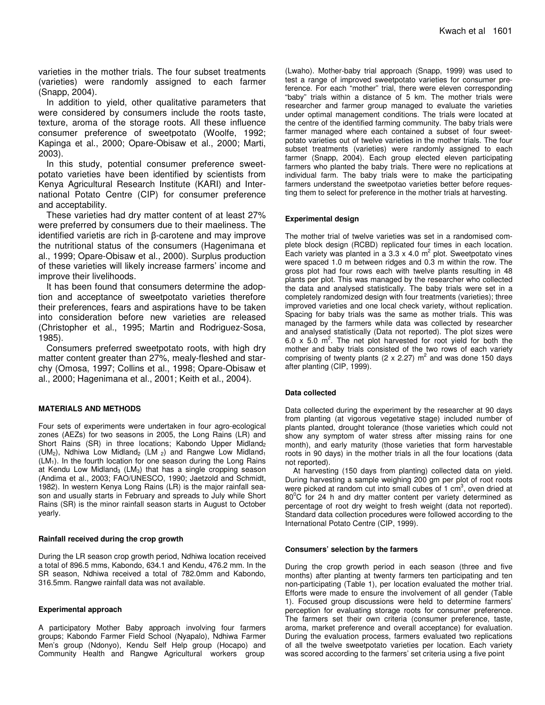varieties in the mother trials. The four subset treatments (varieties) were randomly assigned to each farmer (Snapp, 2004).

In addition to yield, other qualitative parameters that were considered by consumers include the roots taste, texture, aroma of the storage roots. All these influence consumer preference of sweetpotato (Woolfe, 1992; Kapinga et al., 2000; Opare-Obisaw et al., 2000; Marti, 2003).

In this study, potential consumer preference sweetpotato varieties have been identified by scientists from Kenya Agricultural Research Institute (KARI) and International Potato Centre (CIP) for consumer preference and acceptability.

These varieties had dry matter content of at least 27% were preferred by consumers due to their maeliness. The identified varietis are rich in  $\beta$ -carotene and may improve the nutritional status of the consumers (Hagenimana et al., 1999; Opare-Obisaw et al., 2000). Surplus production of these varieties will likely increase farmers' income and improve their livelihoods.

It has been found that consumers determine the adoption and acceptance of sweetpotato varieties therefore their preferences, fears and aspirations have to be taken into consideration before new varieties are released (Christopher et al., 1995; Martin and Rodriguez-Sosa, 1985).

Consumers preferred sweetpotato roots, with high dry matter content greater than 27%, mealy-fleshed and starchy (Omosa, 1997; Collins et al., 1998; Opare-Obisaw et al., 2000; Hagenimana et al., 2001; Keith et al., 2004).

#### **MATERIALS AND METHODS**

Four sets of experiments were undertaken in four agro-ecological zones (AEZs) for two seasons in 2005, the Long Rains (LR) and Short Rains (SR) in three locations; Kabondo Upper Midland<sub>2</sub> (UM<sub>2</sub>), Ndhiwa Low Midland<sub>2</sub> (LM<sub>2</sub>) and Rangwe Low Midland<sub>1</sub>  $(LM<sub>1</sub>)$ . In the fourth location for one season during the Long Rains at Kendu Low Midland<sub>3</sub> (LM<sub>3</sub>) that has a single cropping season (Andima et al., 2003; FAO/UNESCO, 1990; Jaetzold and Schmidt, 1982). In western Kenya Long Rains (LR) is the major rainfall season and usually starts in February and spreads to July while Short Rains (SR) is the minor rainfall season starts in August to October yearly.

#### **Rainfall received during the crop growth**

During the LR season crop growth period, Ndhiwa location received a total of 896.5 mms, Kabondo, 634.1 and Kendu, 476.2 mm. In the SR season, Ndhiwa received a total of 782.0mm and Kabondo, 316.5mm. Rangwe rainfall data was not available.

#### **Experimental approach**

A participatory Mother Baby approach involving four farmers groups; Kabondo Farmer Field School (Nyapalo), Ndhiwa Farmer Men's group (Ndonyo), Kendu Self Help group (Hocapo) and Community Health and Rangwe Agricultural workers group

(Lwaho). Mother-baby trial approach (Snapp, 1999) was used to test a range of improved sweetpotato varieties for consumer preference. For each "mother" trial, there were eleven corresponding "baby" trials within a distance of 5 km. The mother trials were researcher and farmer group managed to evaluate the varieties under optimal management conditions. The trials were located at the centre of the identified farming community. The baby trials were farmer managed where each contained a subset of four sweetpotato varieties out of twelve varieties in the mother trials. The four subset treatments (varieties) were randomly assigned to each farmer (Snapp, 2004). Each group elected eleven participating farmers who planted the baby trials. There were no replications at individual farm. The baby trials were to make the participating farmers understand the sweetpotao varieties better before requesting them to select for preference in the mother trials at harvesting.

#### **Experimental design**

The mother trial of twelve varieties was set in a randomised complete block design (RCBD) replicated four times in each location. Each variety was planted in a 3.3 x 4.0  $m^2$  plot. Sweetpotato vines were spaced 1.0 m between ridges and 0.3 m within the row. The gross plot had four rows each with twelve plants resulting in 48 plants per plot. This was managed by the researcher who collected the data and analysed statistically. The baby trials were set in a completely randomized design with four treatments (varieties); three improved varieties and one local check variety, without replication. Spacing for baby trials was the same as mother trials. This was managed by the farmers while data was collected by researcher and analysed statistically (Data not reported). The plot sizes were 6.0 x 5.0  $m^2$ . The net plot harvested for root yield for both the mother and baby trials consisted of the two rows of each variety comprising of twenty plants (2 x 2.27)  $m^2$  and was done 150 days after planting (CIP, 1999).

#### **Data collected**

Data collected during the experiment by the researcher at 90 days from planting (at vigorous vegetative stage) included number of plants planted, drought tolerance (those varieties which could not show any symptom of water stress after missing rains for one month), and early maturity (those varieties that form harvestable roots in 90 days) in the mother trials in all the four locations (data not reported).

At harvesting (150 days from planting) collected data on yield. During harvesting a sample weighing 200 gm per plot of root roots were picked at random cut into small cubes of 1 cm<sup>3</sup>, oven dried at  $80^{\circ}$ C for 24 h and dry matter content per variety determined as percentage of root dry weight to fresh weight (data not reported). Standard data collection procedures were followed according to the International Potato Centre (CIP, 1999).

#### **Consumers' selection by the farmers**

During the crop growth period in each season (three and five months) after planting at twenty farmers ten participating and ten non-participating (Table 1), per location evaluated the mother trial. Efforts were made to ensure the involvement of all gender (Table 1). Focused group discussions were held to determine farmers' perception for evaluating storage roots for consumer preference. The farmers set their own criteria (consumer preference, taste, aroma, market preference and overall acceptance) for evaluation. During the evaluation process, farmers evaluated two replications of all the twelve sweetpotato varieties per location. Each variety was scored according to the farmers' set criteria using a five point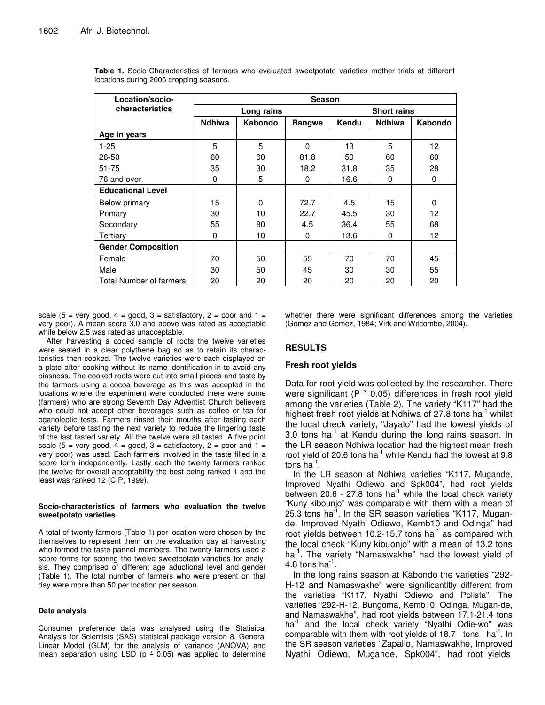| Location/socio-                | <b>Season</b> |          |          |                    |               |          |  |
|--------------------------------|---------------|----------|----------|--------------------|---------------|----------|--|
| characteristics                | Long rains    |          |          | <b>Short rains</b> |               |          |  |
|                                | <b>Ndhiwa</b> | Kabondo  | Rangwe   | Kendu              | <b>Ndhiwa</b> | Kabondo  |  |
| Age in years                   |               |          |          |                    |               |          |  |
| $1 - 25$                       | 5             | 5        | $\Omega$ | 13                 | 5             | 12       |  |
| $26 - 50$                      | 60            | 60       | 81.8     | 50                 | 60            | 60       |  |
| $51 - 75$                      | 35            | 30       | 18.2     | 31.8               | 35            | 28       |  |
| 76 and over                    | 0             | 5        | 0        | 16.6               | 0             | 0        |  |
| <b>Educational Level</b>       |               |          |          |                    |               |          |  |
| Below primary                  | 15            | $\Omega$ | 72.7     | 4.5                | 15            | $\Omega$ |  |
| Primary                        | 30            | 10       | 22.7     | 45.5               | 30            | 12       |  |
| Secondary                      | 55            | 80       | 4.5      | 36.4               | 55            | 68       |  |
| Tertiary                       | $\Omega$      | 10       | 0        | 13.6               | 0             | 12       |  |
| <b>Gender Composition</b>      |               |          |          |                    |               |          |  |
| Female                         | 70            | 50       | 55       | 70                 | 70            | 45       |  |
| Male                           | 30            | 50       | 45       | 30                 | 30            | 55       |  |
| <b>Total Number of farmers</b> | 20            | 20       | 20       | 20                 | 20            | 20       |  |

**Table 1.** Socio-Characteristics of farmers who evaluated sweetpotato varieties mother trials at different locations during 2005 cropping seasons.

scale (5 = very good, 4 = good, 3 = satisfactory, 2 = poor and 1 = very poor). A mean score 3.0 and above was rated as acceptable while below 2.5 was rated as unacceptable.

After harvesting a coded sample of roots the twelve varieties were sealed in a clear polythene bag so as to retain its characteristics then cooked. The twelve varieties were each displayed on a plate after cooking without its name identification in to avoid any biasness. The cooked roots were cut into small pieces and taste by the farmers using a cocoa beverage as this was accepted in the locations where the experiment were conducted there were some (farmers) who are strong Seventh Day Adventist Church believers who could not accept other beverages such as coffee or tea for oganoleptic tests. Farmers rinsed their mouths after tasting each variety before tasting the next variety to reduce the lingering taste of the last tasted variety. All the twelve were all tasted. A five point scale (5 = very good, 4 = good, 3 = satisfactory, 2 = poor and 1 = very poor) was used. Each farmers involved in the taste filled in a score form independently. Lastly each the twenty farmers ranked the twelve for overall acceptability the best being ranked 1 and the least was ranked 12 (CIP, 1999).

#### **Socio-characteristics of farmers who evaluation the twelve sweetpotato varieties**

A total of twenty farmers (Table 1) per location were chosen by the themselves to represent them on the evaluation day at harvesting who formed the taste pannel members. The twenty farmers used a score forms for scoring the twelve sweetpotato varieties for analysis. They comprised of different age aductional level and gender (Table 1). The total number of farmers who were present on that day were more than 50 per location per season.

#### **Data analysis**

Consumer preference data was analysed using the Statisical Analysis for Scientists (SAS) statisical package version 8. General Linear Model (GLM) for the analysis of variance (ANOVA) and mean separation using LSD ( $p \le 0.05$ ) was applied to determine

whether there were significant differences among the varieties (Gomez and Gomez, 1984; Virk and Witcombe, 2004).

# **RESULTS**

## **Fresh root yields**

Data for root yield was collected by the researcher. There were significant ( $P \le 0.05$ ) differences in fresh root yield among the varieties (Table 2). The variety "K117" had the highest fresh root yields at Ndhiwa of 27.8 tons ha<sup>-1</sup> whilst the local check variety, "Jayalo" had the lowest yields of 3.0 tons ha<sup>-1</sup> at Kendu during the long rains season. In the LR season Ndhiwa location had the highest mean fresh root yield of 20.6 tons ha $^{-1}$  while Kendu had the lowest at 9.8 tons ha $^{-1}$ .

In the LR season at Ndhiwa varieties "K117, Mugande, Improved Nyathi Odiewo and Spk004", had root yields between 20.6 - 27.8 tons ha<sup>-1</sup> while the local check variety "Kuny kibounjo" was comparable with them with a mean of 25.3 tons ha<sup>-1</sup>. In the SR season varieties "K117, Mugande, Improved Nyathi Odiewo, Kemb10 and Odinga" had root yields between 10.2-15.7 tons ha $^{-1}$  as compared with the local check "Kuny kibuonjo" with a mean of 13.2 tons ha<sup>-1</sup>. The variety "Namaswakhe" had the lowest yield of 4.8 tons ha $^{-1}$ .

In the long rains season at Kabondo the varieties "292- H-12 and Namaswakhe" were significantltly different from the varieties "K117, Nyathi Odiewo and Polista". The varieties "292-H-12, Bungoma, Kemb10, Odinga, Mugan-de, and Namaswakhe", had root yields between 17.1-21.4 tons ha<sup>-1</sup> and the local check variety "Nyathi Odie-wo" was comparable with them with root yields of 18.7 tons  $ha^{-1}$ . In the SR season varieties "Zapallo, Namaswakhe, Improved Nyathi Odiewo, Mugande, Spk004", had root yields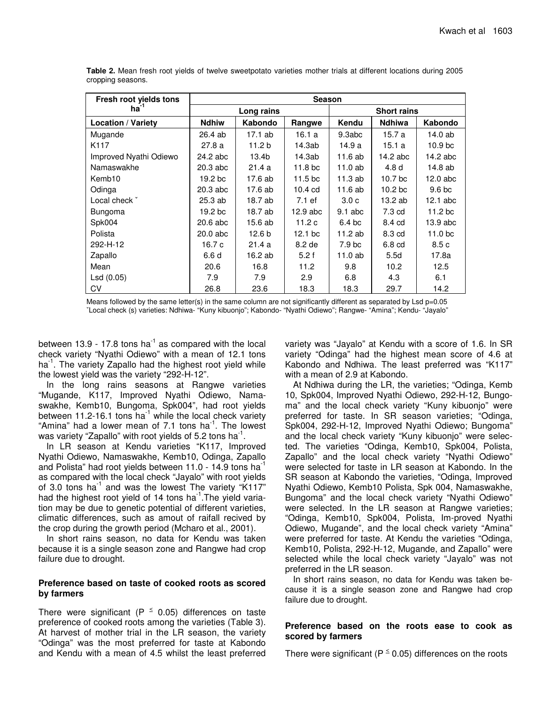| Fresh root yields tons    | <b>Season</b> |                   |                     |                  |                    |                    |  |  |
|---------------------------|---------------|-------------------|---------------------|------------------|--------------------|--------------------|--|--|
| ha <sup>-</sup> '         |               | Long rains        |                     |                  | <b>Short rains</b> |                    |  |  |
| <b>Location / Variety</b> | <b>Ndhiw</b>  | Kabondo           | Rangwe              | Kendu            | <b>Ndhiwa</b>      | Kabondo            |  |  |
| Mugande                   | 26.4 ab       | 17.1 ab           | 16.1 a              | 9.3abc           | 15.7 a             | 14.0 ab            |  |  |
| K117                      | 27.8a         | 11.2 <sub>b</sub> | 14.3ab              | 14.9 a           | 15.1 a             | 10.9 bc            |  |  |
| Improved Nyathi Odiewo    | 24.2 abc      | 13.4b             | 14.3ab              | 11.6 ab          | 14.2 abc           | 14.2 abc           |  |  |
| Namaswakhe                | 20.3 abc      | 21.4a             | 11.8 <sub>bc</sub>  | 11.0 ab          | 4.8 <sub>d</sub>   | 14.8 ab            |  |  |
| Kemb10                    | 19.2 bc       | 17.6 ab           | 11.5 <sub>b</sub> c | 11.3ab           | 10.7 bc            | 12.0 abc           |  |  |
| Odinga                    | 20.3 abc      | 17.6 ab           | $10.4 \text{ cd}$   | 11.6 ab          | 10.2 <sub>bc</sub> | 9.6 <sub>bc</sub>  |  |  |
| Local check *             | 25.3 ab       | 18.7 ab           | 7.1 ef              | 3.0 <sub>c</sub> | 13.2 ab            | $12.1$ abc         |  |  |
| Bungoma                   | 19.2 bc       | 18.7 ab           | $12.9$ abc          | $9.1$ abc        | $7.3 \text{ cd}$   | 11.2 <sub>bc</sub> |  |  |
| Spk004                    | 20.6 abc      | 15.6 ab           | 11.2 c              | 6.4 bc           | 8.4 cd             | $13.9$ abc         |  |  |
| Polista                   | 20.0 abc      | 12.6 <sub>b</sub> | 12.1 <sub>bc</sub>  | 11.2 ab          | 8.3 cd             | 11.0 bc            |  |  |
| 292-H-12                  | 16.7 c        | 21.4a             | 8.2 de              | 7.9 bc           | 6.8 cd             | 8.5c               |  |  |
| Zapallo                   | 6.6 d         | 16.2 ab           | 5.2f                | 11.0 ab          | 5.5d               | 17.8a              |  |  |
| Mean                      | 20.6          | 16.8              | 11.2                | 9.8              | 10.2               | 12.5               |  |  |
| Lsd (0.05)                | 7.9           | 7.9               | 2.9                 | 6.8              | 4.3                | 6.1                |  |  |
| CV                        | 26.8          | 23.6              | 18.3                | 18.3             | 29.7               | 14.2               |  |  |

**Table 2.** Mean fresh root yields of twelve sweetpotato varieties mother trials at different locations during 2005 cropping seasons.

Means followed by the same letter(s) in the same column are not significantly different as separated by Lsd  $p=0.05$ ˇLocal check (s) varieties: Ndhiwa- "Kuny kibuonjo"; Kabondo- "Nyathi Odiewo"; Rangwe- "Amina"; Kendu- "Jayalo"

between 13.9 - 17.8 tons ha<sup>-1</sup> as compared with the local check variety "Nyathi Odiewo" with a mean of 12.1 tons ha<sup>-1</sup>. The variety Zapallo had the highest root yield while the lowest yield was the variety "292-H-12".

In the long rains seasons at Rangwe varieties "Mugande, K117, Improved Nyathi Odiewo, Namaswakhe, Kemb10, Bungoma, Spk004", had root yields between 11.2-16.1 tons ha<sup>1</sup> while the local check variety "Amina" had a lower mean of 7.1 tons ha<sup>-1</sup>. The lowest was variety "Zapallo" with root yields of 5.2 tons ha $^{\text{-}1}$ .

In LR season at Kendu varieties "K117, Improved Nyathi Odiewo, Namaswakhe, Kemb10, Odinga, Zapallo and Polista" had root yields between 11.0 - 14.9 tons ha $^{-1}$ as compared with the local check "Jayalo" with root yields of 3.0 tons ha<sup>-1</sup> and was the lowest The variety "K117" had the highest root yield of 14 tons ha<sup>-1</sup>. The yield variation may be due to genetic potential of different varieties, climatic differences, such as amout of raifall recived by the crop during the growth period (Mcharo et al., 2001).

In short rains season, no data for Kendu was taken because it is a single season zone and Rangwe had crop failure due to drought.

## **Preference based on taste of cooked roots as scored by farmers**

There were significant (P  $\leq$  0.05) differences on taste preference of cooked roots among the varieties (Table 3). At harvest of mother trial in the LR season, the variety "Odinga" was the most preferred for taste at Kabondo and Kendu with a mean of 4.5 whilst the least preferred

variety was "Jayalo" at Kendu with a score of 1.6. In SR variety "Odinga" had the highest mean score of 4.6 at Kabondo and Ndhiwa. The least preferred was "K117" with a mean of 2.9 at Kabondo.

At Ndhiwa during the LR, the varieties; "Odinga, Kemb 10, Spk004, Improved Nyathi Odiewo, 292-H-12, Bungoma" and the local check variety "Kuny kibuonjo" were preferred for taste. In SR season varieties; "Odinga, Spk004, 292-H-12, Improved Nyathi Odiewo; Bungoma" and the local check variety "Kuny kibuonjo" were selected. The varieties "Odinga, Kemb10, Spk004, Polista, Zapallo" and the local check variety "Nyathi Odiewo" were selected for taste in LR season at Kabondo. In the SR season at Kabondo the varieties, "Odinga, Improved Nyathi Odiewo, Kemb10 Polista, Spk 004, Namaswakhe, Bungoma" and the local check variety "Nyathi Odiewo" were selected. In the LR season at Rangwe varieties; "Odinga, Kemb10, Spk004, Polista, Im-proved Nyathi Odiewo, Mugande", and the local check variety "Amina" were preferred for taste. At Kendu the varieties "Odinga, Kemb10, Polista, 292-H-12, Mugande, and Zapallo" were selected while the local check variety "Jayalo" was not preferred in the LR season.

In short rains season, no data for Kendu was taken because it is a single season zone and Rangwe had crop failure due to drought.

## **Preference based on the roots ease to cook as scored by farmers**

There were significant ( $P \le 0.05$ ) differences on the roots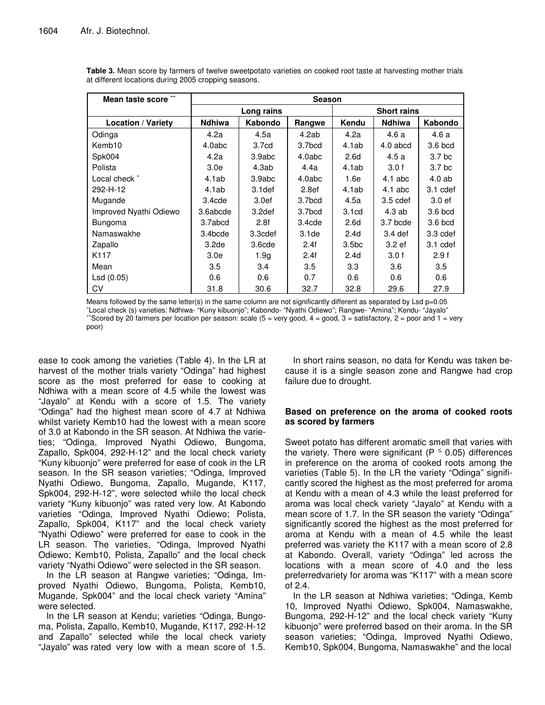| Mean taste score ~        | <b>Season</b>      |                    |                    |                    |               |                   |  |
|---------------------------|--------------------|--------------------|--------------------|--------------------|---------------|-------------------|--|
|                           | Long rains         |                    |                    | <b>Short rains</b> |               |                   |  |
| <b>Location / Variety</b> | <b>Ndhiwa</b>      | Kabondo            | Rangwe             | Kendu              | <b>Ndhiwa</b> | Kabondo           |  |
| Odinga                    | 4.2a               | 4.5a               | 4.2ab              | 4.2a               | 4.6 a         | 4.6 a             |  |
| Kemb10                    | 4.0abc             | 3.7cd              | 3.7bcd             | 4.1ab              | $4.0$ abcd    | 3.6 bcd           |  |
| Spk004                    | 4.2a               | 3.9abc             | 4.0abc             | 2.6d               | 4.5 a         | 3.7 <sub>bc</sub> |  |
| Polista                   | 3.0 <sub>e</sub>   | 4.3ab              | 4.4a               | 4.1ab              | 3.0 f         | 3.7 <sub>bc</sub> |  |
| Local check *             | 4.1ab              | 3.9abc             | 4.0abc             | 1.6e               | $4.1$ abc     | 4.0ab             |  |
| 292-H-12                  | 4.1ab              | 3.1 <sub>def</sub> | 2.8ef              | 4.1ab              | $4.1$ abc     | 3.1 cdef          |  |
| Mugande                   | 3.4 <sub>cde</sub> | 3.0 <sub>ef</sub>  | 3.7bcd             | 4.5a               | $3.5$ cdef    | 3.0 ef            |  |
| Improved Nyathi Odiewo    | 3.6abcde           | 3.2def             | 3.7bcd             | 3.1 <sub>cd</sub>  | 4.3 ab        | 3.6 bcd           |  |
| Bungoma                   | 3.7abcd            | 2.8f               | 3.4 <sub>cde</sub> | 2.6d               | 3.7 bcde      | 3.6 bcd           |  |
| Namaswakhe                | 3.4bcde            | 3.3cdef            | 3.1 <sub>de</sub>  | 2.4d               | $3.4$ def     | 3.3 cdef          |  |
| Zapallo                   | 3.2de              | 3.6cde             | 2.4f               | 3.5 <sub>bc</sub>  | 3.2 ef        | 3.1 cdef          |  |
| K117                      | 3.0e               | 1.9 <sub>q</sub>   | 2.4f               | 2.4d               | 3.0 f         | 2.9f              |  |
| Mean                      | 3.5                | 3.4                | 3.5                | 3.3                | 3.6           | 3.5               |  |
| Lsd (0.05)                | 0.6                | 0.6                | 0.7                | 0.6                | 0.6           | 0.6               |  |
| CV                        | 31.8               | 30.6               | 32.7               | 32.8               | 29.6          | 27.9              |  |

**Table 3.** Mean score by farmers of twelve sweetpotato varieties on cooked root taste at harvesting mother trials at different locations during 2005 cropping seasons.

Means followed by the same letter(s) in the same column are not significantly different as separated by Lsd p=0.05 ˇLocal check (s) varieties: Ndhiwa- "Kuny kibuonjo"; Kabondo- "Nyathi Odiewo"; Rangwe- "Amina"; Kendu- "Jayalo" "Scored by 20 farmers per location per season: scale ( $5 =$  very good,  $4 =$  good,  $3 =$  satisfactory,  $2 =$  poor and  $1 =$  very poor)

ease to cook among the varieties (Table 4). In the LR at harvest of the mother trials variety "Odinga" had highest score as the most preferred for ease to cooking at Ndhiwa with a mean score of 4.5 while the lowest was "Jayalo" at Kendu with a score of 1.5. The variety "Odinga" had the highest mean score of 4.7 at Ndhiwa whilst variety Kemb10 had the lowest with a mean score of 3.0 at Kabondo in the SR season. At Ndhiwa the varieties; "Odinga, Improved Nyathi Odiewo, Bungoma, Zapallo, Spk004, 292-H-12" and the local check variety "Kuny kibuonjo" were preferred for ease of cook in the LR season. In the SR season varieties; "Odinga, Improved Nyathi Odiewo, Bungoma, Zapallo, Mugande, K117, Spk004, 292-H-12", were selected while the local check variety "Kuny kibuonjo" was rated very low. At Kabondo varieties "Odinga, Improved Nyathi Odiewo; Polista, Zapallo, Spk004, K117" and the local check variety "Nyathi Odiewo" were preferred for ease to cook in the LR season. The varieties, "Odinga, Improved Nyathi Odiewo; Kemb10, Polista, Zapallo" and the local check variety "Nyathi Odiewo" were selected in the SR season.

In the LR season at Rangwe varieties; "Odinga, Improved Nyathi Odiewo, Bungoma, Polista, Kemb10, Mugande, Spk004" and the local check variety "Amina" were selected.

In the LR season at Kendu; varieties "Odinga, Bungoma, Polista, Zapallo, Kemb10, Mugande, K117, 292-H-12 and Zapallo" selected while the local check variety "Jayalo" was rated very low with a mean score of 1.5.

In short rains season, no data for Kendu was taken because it is a single season zone and Rangwe had crop failure due to drought.

## **Based on preference on the aroma of cooked roots as scored by farmers**

Sweet potato has different aromatic smell that varies with the variety. There were significant (P  $\leq$  0.05) differences in preference on the aroma of cooked roots among the varieties (Table 5). In the LR the variety "Odinga" significantly scored the highest as the most preferred for aroma at Kendu with a mean of 4.3 while the least preferred for aroma was local check variety "Jayalo" at Kendu with a mean score of 1.7. In the SR season the variety "Odinga" significantly scored the highest as the most preferred for aroma at Kendu with a mean of 4.5 while the least preferred was variety the K117 with a mean score of 2.8 at Kabondo. Overall, variety "Odinga" led across the locations with a mean score of 4.0 and the less preferredvariety for aroma was "K117" with a mean score of 2.4.

In the LR season at Ndhiwa varieties; "Odinga, Kemb 10, Improved Nyathi Odiewo, Spk004, Namaswakhe, Bungoma, 292-H-12" and the local check variety "Kuny kibuonjo" were preferred based on their aroma. In the SR season varieties; "Odinga, Improved Nyathi Odiewo, Kemb10, Spk004, Bungoma, Namaswakhe" and the local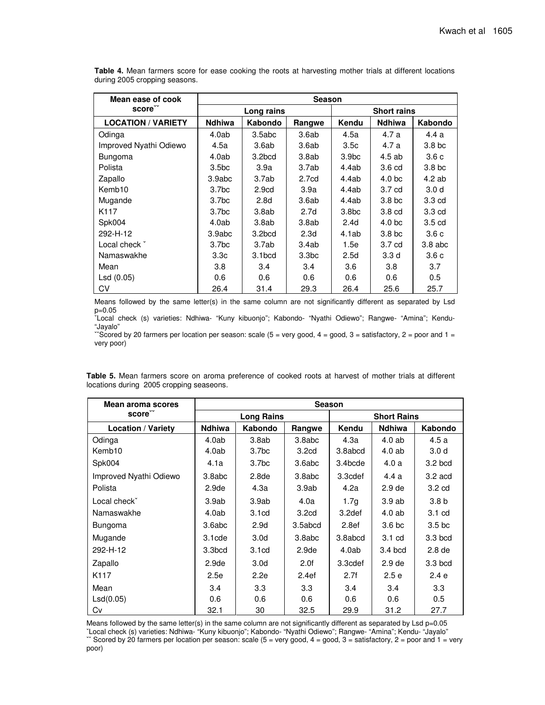| Mean ease of cook         | <b>Season</b>     |                   |                   |                    |                   |                   |  |
|---------------------------|-------------------|-------------------|-------------------|--------------------|-------------------|-------------------|--|
| score <sup>"</sup>        | Long rains        |                   |                   | <b>Short rains</b> |                   |                   |  |
| <b>LOCATION / VARIETY</b> | Ndhiwa            | Kabondo           | Rangwe            | Kendu              | <b>Ndhiwa</b>     | Kabondo           |  |
| Odinga                    | 4.0ab             | 3.5abc            | 3.6ab             | 4.5a               | 4.7 a             | 4.4a              |  |
| Improved Nyathi Odiewo    | 4.5a              | 3.6ab             | 3.6ab             | 3.5c               | 4.7 a             | 3.8 <sub>bc</sub> |  |
| Bungoma                   | 4.0ab             | 3.2bcd            | 3.8ab             | 3.9 <sub>bc</sub>  | $4.5$ ab          | 3.6c              |  |
| Polista                   | 3.5 <sub>bc</sub> | 3.9a              | 3.7ab             | 4.4ab              | 3.6 <sub>cd</sub> | 3.8 <sub>bc</sub> |  |
| Zapallo                   | 3.9abc            | 3.7ab             | 2.7 <sub>cd</sub> | 4.4ab              | 4.0 <sub>bc</sub> | $4.2$ ab          |  |
| Kemb <sub>10</sub>        | 3.7 <sub>bc</sub> | 2.9 <sub>cd</sub> | 3.9a              | 4.4ab              | 3.7 <sub>cd</sub> | 3.0 <sub>d</sub>  |  |
| Mugande                   | 3.7 <sub>bc</sub> | 2.8 <sub>d</sub>  | 3.6ab             | 4.4ab              | 3.8 <sub>b</sub>  | 3.3 cd            |  |
| K <sub>117</sub>          | 3.7 <sub>bc</sub> | 3.8ab             | 2.7d              | 3.8 <sub>bc</sub>  | 3.8 <sub>cd</sub> | $3.3 \text{ cd}$  |  |
| Spk004                    | 4.0ab             | 3.8ab             | 3.8ab             | 2.4d               | 4.0 <sub>bc</sub> | $3.5 \text{ cd}$  |  |
| 292-H-12                  | 3.9abc            | 3.2bcd            | 2.3 <sub>d</sub>  | 4.1ab              | 3.8 <sub>b</sub>  | 3.6c              |  |
| Local check *             | 3.7 <sub>bc</sub> | 3.7ab             | 3.4ab             | 1.5e               | 3.7 cd            | $3.8$ abc         |  |
| Namaswakhe                | 3.3 <sub>c</sub>  | 3.1bcd            | 3.3 <sub>bc</sub> | 2.5d               | 3.3 d             | 3.6 c             |  |
| Mean                      | 3.8               | 3.4               | 3.4               | 3.6                | 3.8               | 3.7               |  |
| Lsd (0.05)                | 0.6               | 0.6               | 0.6               | 0.6                | 0.6               | 0.5               |  |
| CV                        | 26.4              | 31.4              | 29.3              | 26.4               | 25.6              | 25.7              |  |

**Table 4.** Mean farmers score for ease cooking the roots at harvesting mother trials at different locations during 2005 cropping seasons.

Means followed by the same letter(s) in the same column are not significantly different as separated by Lsd p=0.05

ˇLocal check (s) varieties: Ndhiwa- "Kuny kibuonjo"; Kabondo- "Nyathi Odiewo"; Rangwe- "Amina"; Kendu- "Jayalo"

 $\sim$ Scored by 20 farmers per location per season: scale (5 = very good, 4 = good, 3 = satisfactory, 2 = poor and 1 = very poor)

| <b>Mean aroma scores</b>  | Season            |                   |                   |                    |                   |                   |  |
|---------------------------|-------------------|-------------------|-------------------|--------------------|-------------------|-------------------|--|
| score                     | <b>Long Rains</b> |                   |                   | <b>Short Rains</b> |                   |                   |  |
| <b>Location / Variety</b> | <b>Ndhiwa</b>     | Kabondo           | Rangwe            | Kendu              | <b>Ndhiwa</b>     | Kabondo           |  |
| Odinga                    | 4.0ab             | 3.8ab             | 3.8abc            | 4.3a               | 4.0ab             | 4.5 a             |  |
| Kemb10                    | 4.0ab             | 3.7 <sub>bc</sub> | 3.2 <sub>cd</sub> | 3.8abcd            | 4.0ab             | 3.0 <sub>d</sub>  |  |
| Spk004                    | 4.1a              | 3.7 <sub>bc</sub> | 3.6abc            | 3.4bcde            | 4.0a              | 3.2 bcd           |  |
| Improved Nyathi Odiewo    | 3.8abc            | 2.8 <sub>de</sub> | 3.8abc            | 3.3cdef            | 4.4a              | $3.2$ acd         |  |
| Polista                   | 2.9 <sub>de</sub> | 4.3a              | 3.9ab             | 4.2a               | 2.9 <sub>de</sub> | 3.2 <sub>cd</sub> |  |
| Local check <sup>o</sup>  | 3.9ab             | 3.9ab             | 4.0a              | 1.7 <sub>g</sub>   | 3.9ab             | 3.8 <sub>b</sub>  |  |
| Namaswakhe                | 4.0ab             | 3.1 <sub>cd</sub> | 3.2 <sub>cd</sub> | 3.2def             | 4.0ab             | 3.1 <sub>cd</sub> |  |
| Bungoma                   | 3.6abc            | 2.9 <sub>d</sub>  | 3.5abcd           | 2.8 <sub>ef</sub>  | 3.6 bc            | 3.5 <sub>bc</sub> |  |
| Mugande                   | 3.1cde            | 3.0 <sub>d</sub>  | 3.8abc            | 3.8abcd            | 3.1 <sub>cd</sub> | 3.3 bcd           |  |
| 292-H-12                  | 3.3bcd            | 3.1 <sub>cd</sub> | 2.9 <sub>de</sub> | 4.0ab              | 3.4 bcd           | 2.8 <sub>de</sub> |  |
| Zapallo                   | 2.9 <sub>de</sub> | 3.0 <sub>d</sub>  | 2.0f              | 3.3cdef            | 2.9 <sub>de</sub> | 3.3 bcd           |  |
| K117                      | 2.5e              | 2.2e              | 2.4ef             | 2.7f               | 2.5e              | 2.4e              |  |
| Mean                      | 3.4               | 3.3               | 3.3               | 3.4                | 3.4               | 3.3               |  |
| Lsd(0.05)                 | 0.6               | 0.6               | 0.6               | 0.6                | 0.6               | 0.5               |  |
| Cv                        | 32.1              | 30                | 32.5              | 29.9               | 31.2              | 27.7              |  |

**Table 5.** Mean farmers score on aroma preference of cooked roots at harvest of mother trials at different locations during 2005 cropping seaseons.

Means followed by the same letter(s) in the same column are not significantly different as separated by Lsd p=0.05

ˇLocal check (s) varieties: Ndhiwa- "Kuny kibuonjo"; Kabondo- "Nyathi Odiewo"; Rangwe- "Amina"; Kendu- "Jayalo"  $\sim$  Scored by 20 farmers per location per season: scale (5 = very good, 4 = good, 3 = satisfactory, 2 = poor and 1 = very poor)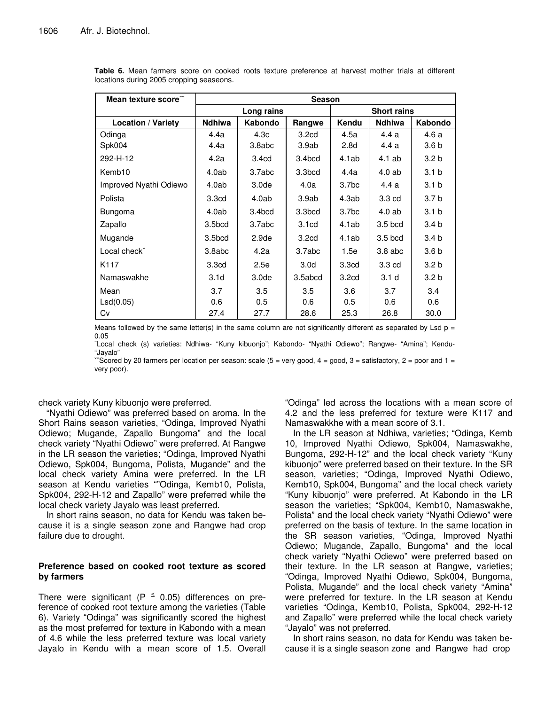| Mean texture score        | <b>Season</b>      |                   |                   |                    |                   |                  |  |
|---------------------------|--------------------|-------------------|-------------------|--------------------|-------------------|------------------|--|
|                           | Long rains         |                   |                   | <b>Short rains</b> |                   |                  |  |
| <b>Location / Variety</b> | <b>Ndhiwa</b>      | Kabondo           | Rangwe            | Kendu              | <b>Ndhiwa</b>     | Kabondo          |  |
| Odinga                    | 4.4a               | 4.3 <sub>c</sub>  | 3.2 <sub>cd</sub> | 4.5a               | 4.4 a             | 4.6a             |  |
| Spk004                    | 4.4a               | 3.8abc            | 3.9ab             | 2.8 <sub>d</sub>   | 4.4 a             | 3.6 <sub>b</sub> |  |
| 292-H-12                  | 4.2a               | 3.4 <sub>cd</sub> | 3.4bcd            | 4.1ab              | $4.1$ ab          | 3.2 <sub>b</sub> |  |
| Kemb <sub>10</sub>        | 4.0ab              | 3.7abc            | 3.3bcd            | 4.4a               | $4.0$ ab          | 3.1 <sub>b</sub> |  |
| Improved Nyathi Odiewo    | 4.0ab              | 3.0 <sub>de</sub> | 4.0a              | 3.7 <sub>bc</sub>  | 4.4 a             | 3.1 <sub>b</sub> |  |
| Polista                   | 3.3 <sub>cd</sub>  | 4.0ab             | 3.9ab             | 4.3ab              | 3.3 <sub>cd</sub> | 3.7 <sub>b</sub> |  |
| <b>Bungoma</b>            | 4.0ab              | 3.4bcd            | 3.3bcd            | 3.7 <sub>bc</sub>  | $4.0$ ab          | 3.1 <sub>b</sub> |  |
| Zapallo                   | 3.5bcd             | 3.7abc            | 3.1 <sub>cd</sub> | 4.1ab              | $3.5$ bcd         | 3.4 <sub>b</sub> |  |
| Mugande                   | 3.5 <sub>bcd</sub> | 2.9 <sub>de</sub> | 3.2 <sub>cd</sub> | 4.1ab              | $3.5$ bcd         | 3.4 <sub>b</sub> |  |
| Local check <sup>*</sup>  | 3.8abc             | 4.2a              | 3.7abc            | 1.5e               | $3.8$ abc         | 3.6 <sub>b</sub> |  |
| K <sub>117</sub>          | 3.3 <sub>cd</sub>  | 2.5e              | 3.0 <sub>d</sub>  | 3.3 <sub>cd</sub>  | 3.3 <sub>cd</sub> | 3.2 <sub>b</sub> |  |
| Namaswakhe                | 3.1 <sub>d</sub>   | 3.0 <sub>de</sub> | 3.5abcd           | 3.2 <sub>cd</sub>  | 3.1 <sub>d</sub>  | 3.2 <sub>b</sub> |  |
| Mean                      | 3.7                | 3.5               | 3.5               | 3.6                | 3.7               | 3.4              |  |
| LSd(0.05)                 | 0.6                | 0.5               | 0.6               | 0.5                | 0.6               | 0.6              |  |
| Cv                        | 27.4               | 27.7              | 28.6              | 25.3               | 26.8              | 30.0             |  |

**Table 6.** Mean farmers score on cooked roots texture preference at harvest mother trials at different locations during 2005 cropping seaseons.

Means followed by the same letter(s) in the same column are not significantly different as separated by Lsd  $p =$ 0.05

ˇLocal check (s) varieties: Ndhiwa- "Kuny kibuonjo"; Kabondo- "Nyathi Odiewo"; Rangwe- "Amina"; Kendu- "Jayalo"

 $\degree$ Scored by 20 farmers per location per season: scale (5 = very good, 4 = good, 3 = satisfactory, 2 = poor and 1 = very poor).

check variety Kuny kibuonjo were preferred.

"Nyathi Odiewo" was preferred based on aroma. In the Short Rains season varieties, "Odinga, Improved Nyathi Odiewo; Mugande, Zapallo Bungoma" and the local check variety "Nyathi Odiewo" were preferred. At Rangwe in the LR season the varieties; "Odinga, Improved Nyathi Odiewo, Spk004, Bungoma, Polista, Mugande" and the local check variety Amina were preferred. In the LR season at Kendu varieties ""Odinga, Kemb10, Polista, Spk004, 292-H-12 and Zapallo" were preferred while the local check variety Jayalo was least preferred.

In short rains season, no data for Kendu was taken because it is a single season zone and Rangwe had crop failure due to drought.

## **Preference based on cooked root texture as scored by farmers**

There were significant (P  $\leq$  0.05) differences on preference of cooked root texture among the varieties (Table 6). Variety "Odinga" was significantly scored the highest as the most preferred for texture in Kabondo with a mean of 4.6 while the less preferred texture was local variety Jayalo in Kendu with a mean score of 1.5. Overall "Odinga" led across the locations with a mean score of 4.2 and the less preferred for texture were K117 and Namaswakkhe with a mean score of 3.1.

In the LR season at Ndhiwa, varieties; "Odinga, Kemb 10, Improved Nyathi Odiewo, Spk004, Namaswakhe, Bungoma, 292-H-12" and the local check variety "Kuny kibuonjo" were preferred based on their texture. In the SR season, varieties; "Odinga, Improved Nyathi Odiewo, Kemb10, Spk004, Bungoma" and the local check variety "Kuny kibuonjo" were preferred. At Kabondo in the LR season the varieties; "Spk004, Kemb10, Namaswakhe, Polista" and the local check variety "Nyathi Odiewo" were preferred on the basis of texture. In the same location in the SR season varieties, "Odinga, Improved Nyathi Odiewo; Mugande, Zapallo, Bungoma" and the local check variety "Nyathi Odiewo" were preferred based on their texture. In the LR season at Rangwe, varieties; "Odinga, Improved Nyathi Odiewo, Spk004, Bungoma, Polista, Mugande" and the local check variety "Amina" were preferred for texture. In the LR season at Kendu varieties "Odinga, Kemb10, Polista, Spk004, 292-H-12 and Zapallo" were preferred while the local check variety "Jayalo" was not preferred.

In short rains season, no data for Kendu was taken because it is a single season zone and Rangwe had crop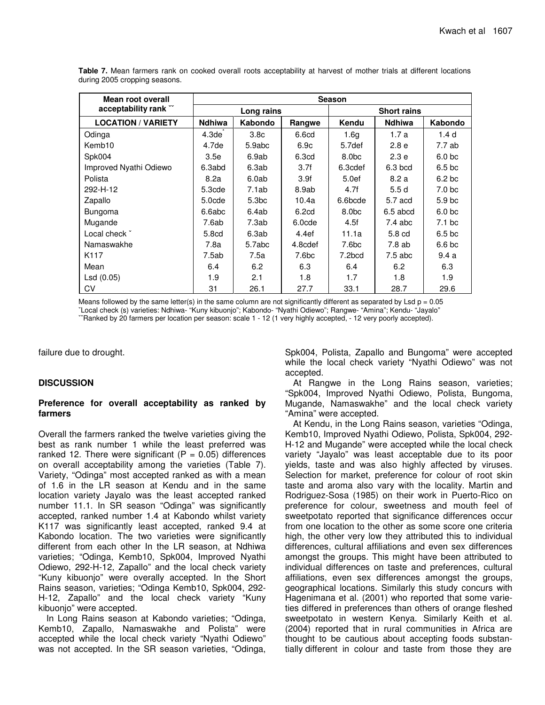| Mean root overall         | Season     |                   |         |                    |                  |                   |  |
|---------------------------|------------|-------------------|---------|--------------------|------------------|-------------------|--|
| acceptability rank ~      | Long rains |                   |         | <b>Short rains</b> |                  |                   |  |
| <b>LOCATION / VARIETY</b> | Ndhiwa     | <b>Kabondo</b>    | Rangwe  | Kendu              | <b>Ndhiwa</b>    | Kabondo           |  |
| Odinga                    | 4.3de      | 3.8 <sub>c</sub>  | 6.6cd   | 1.6 <sub>q</sub>   | 1.7 a            | 1.4d              |  |
| Kemb <sub>10</sub>        | 4.7de      | 5.9abc            | 6.9c    | 5.7def             | 2.8 <sub>e</sub> | 7.7ab             |  |
| Spk004                    | 3.5e       | 6.9ab             | 6.3cd   | 8.0 <sub>bc</sub>  | 2.3 <sub>e</sub> | 6.0 <sub>bc</sub> |  |
| Improved Nyathi Odiewo    | 6.3abd     | 6.3ab             | 3.7f    | 6.3cdef            | $6.3$ bcd        | 6.5 <sub>bc</sub> |  |
| Polista                   | 8.2a       | 6.0ab             | 3.9f    | 5.0ef              | 8.2a             | 6.2 <sub>bc</sub> |  |
| 292-H-12                  | $5.3$ cde  | 7.1ab             | 8.9ab   | 4.7f               | 5.5d             | 7.0 <sub>bc</sub> |  |
| Zapallo                   | 5.0cde     | 5.3 <sub>bc</sub> | 10.4a   | 6.6bcde            | 5.7 acd          | 5.9 <sub>bc</sub> |  |
| <b>Bungoma</b>            | 6.6abc     | 6.4ab             | 6.2cd   | 8.0 <sub>bc</sub>  | 6.5 abcd         | 6.0 <sub>bc</sub> |  |
| Mugande                   | 7.6ab      | 7.3ab             | 6.0cde  | 4.5f               | $7.4$ abc        | 7.1 <sub>bc</sub> |  |
| Local check *             | 5.8cd      | 6.3ab             | 4.4ef   | 11.1a              | 5.8 cd           | 6.5 <sub>bc</sub> |  |
| Namaswakhe                | 7.8a       | 5.7abc            | 4.8cdef | 7.6bc              | 7.8ab            | 6.6 bc            |  |
| K <sub>117</sub>          | 7.5ab      | 7.5a              | 7.6bc   | 7.2bcd             | $7.5$ abc        | 9.4 a             |  |
| Mean                      | 6.4        | 6.2               | 6.3     | 6.4                | 6.2              | 6.3               |  |
| LSd(0.05)                 | 1.9        | 2.1               | 1.8     | 1.7                | 1.8              | 1.9               |  |
| CV                        | 31         | 26.1              | 27.7    | 33.1               | 28.7             | 29.6              |  |

**Table 7.** Mean farmers rank on cooked overall roots acceptability at harvest of mother trials at different locations during 2005 cropping seasons.

Means followed by the same letter(s) in the same column are not significantly different as separated by Lsd  $p = 0.05$ ˇLocal check (s) varieties: Ndhiwa- "Kuny kibuonjo"; Kabondo- "Nyathi Odiewo"; Rangwe- "Amina"; Kendu- "Jayalo" ˇˇRanked by 20 farmers per location per season: scale 1 - 12 (1 very highly accepted, - 12 very poorly accepted).

failure due to drought.

## **DISCUSSION**

#### **Preference for overall acceptability as ranked by farmers**

Overall the farmers ranked the twelve varieties giving the best as rank number 1 while the least preferred was ranked 12. There were significant ( $P = 0.05$ ) differences on overall acceptability among the varieties (Table 7). Variety, "Odinga" most accepted ranked as with a mean of 1.6 in the LR season at Kendu and in the same location variety Jayalo was the least accepted ranked number 11.1. In SR season "Odinga" was significantly accepted, ranked number 1.4 at Kabondo whilst variety K117 was significantly least accepted, ranked 9.4 at Kabondo location. The two varieties were significantly different from each other In the LR season, at Ndhiwa varieties; "Odinga, Kemb10, Spk004, Improved Nyathi Odiewo, 292-H-12, Zapallo" and the local check variety "Kuny kibuonjo" were overally accepted. In the Short Rains season, varieties; "Odinga Kemb10, Spk004, 292- H-12, Zapallo" and the local check variety "Kuny kibuonjo" were accepted.

In Long Rains season at Kabondo varieties; "Odinga, Kemb10, Zapallo, Namaswakhe and Polista" were accepted while the local check variety "Nyathi Odiewo" was not accepted. In the SR season varieties, "Odinga, Spk004, Polista, Zapallo and Bungoma" were accepted while the local check variety "Nyathi Odiewo" was not accepted.

At Rangwe in the Long Rains season, varieties; "Spk004, Improved Nyathi Odiewo, Polista, Bungoma, Mugande, Namaswakhe" and the local check variety "Amina" were accepted.

At Kendu, in the Long Rains season, varieties "Odinga, Kemb10, Improved Nyathi Odiewo, Polista, Spk004, 292- H-12 and Mugande" were accepted while the local check variety "Jayalo" was least acceptable due to its poor yields, taste and was also highly affected by viruses. Selection for market, preference for colour of root skin taste and aroma also vary with the locality. Martin and Rodriguez-Sosa (1985) on their work in Puerto-Rico on preference for colour, sweetness and mouth feel of sweetpotato reported that significance differences occur from one location to the other as some score one criteria high, the other very low they attributed this to individual differences, cultural affiliations and even sex differences amongst the groups. This might have been attributed to individual differences on taste and preferences, cultural affiliations, even sex differences amongst the groups, geographical locations. Similarly this study concurs with Hagenimana et al. (2001) who reported that some varieties differed in preferences than others of orange fleshed sweetpotato in western Kenya. Similarly Keith et al. (2004) reported that in rural communities in Africa are thought to be cautious about accepting foods substantially different in colour and taste from those they are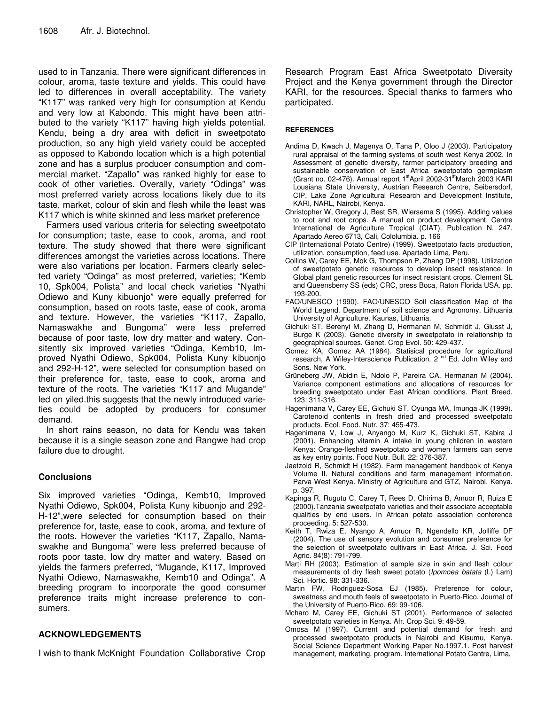used to in Tanzania. There were significant differences in colour, aroma, taste texture and yields. This could have led to differences in overall acceptability. The variety "K117" was ranked very high for consumption at Kendu and very low at Kabondo. This might have been attributed to the variety "K117" having high yields potential. Kendu, being a dry area with deficit in sweetpotato production, so any high yield variety could be accepted as opposed to Kabondo location which is a high potential zone and has a surplus producer consumption and commercial market. "Zapallo" was ranked highly for ease to cook of other varieties. Overally, variety "Odinga" was most preferred variety across locations likely due to its taste, market, colour of skin and flesh while the least was K117 which is white skinned and less market preference

Farmers used various criteria for selecting sweetpotato for consumption; taste, ease to cook, aroma, and root texture. The study showed that there were significant differences amongst the varieties across locations. There were also variations per location. Farmers clearly selected variety "Odinga" as most preferred, varieties; "Kemb 10, Spk004, Polista" and local check varieties "Nyathi Odiewo and Kuny kibuonjo" were equally preferred for consumption, based on roots taste, ease of cook, aroma and texture. However, the varieties "K117, Zapallo, Namaswakhe and Bungoma" were less preferred because of poor taste, low dry matter and watery. Consitently six improved varieties "Odinga, Kemb10, Improved Nyathi Odiewo, Spk004, Polista Kuny kibuonjo and 292-H-12", were selected for consumption based on their preference for, taste, ease to cook, aroma and texture of the roots. The varieties "K117 and Mugande" led on yiled.this suggests that the newly introduced varieties could be adopted by producers for consumer demand.

In short rains season, no data for Kendu was taken because it is a single season zone and Rangwe had crop failure due to drought.

# **Conclusions**

Six improved varieties "Odinga, Kemb10, Improved Nyathi Odiewo, Spk004, Polista Kuny kibuonjo and 292- H-12",were selected for consumption based on their preference for, taste, ease to cook, aroma, and texture of the roots. However the varieties "K117, Zapallo, Namaswakhe and Bungoma" were less preferred because of roots poor taste, low dry matter and watery. Based on yields the farmers preferred, "Mugande, K117, Improved Nyathi Odiewo, Namaswakhe, Kemb10 and Odinga". A breeding program to incorporate the good consumer preference traits might increase preference to consumers.

# **ACKNOWLEDGEMENTS**

I wish to thank McKnight Foundation Collaborative Crop

Research Program East Africa Sweetpotato Diversity Project and the Kenya government through the Director KARI, for the resources. Special thanks to farmers who participated.

## **REFERENCES**

- Andima D, Kwach J, Magenya O, Tana P, Oloo J (2003). Participatory rural appraisal of the farming systems of south west Kenya 2002. In Assessment of genetic diversity, farmer participatory breeding and sustainable conservation of East Africa sweetpotato germplasm (Grant no. 02-476). Annual report 1<sup>st</sup>April 2002-31<sup>st</sup>March 2003 KARI Lousiana State University, Austrian Research Centre, Seibersdorf, CIP, Lake Zone Agricultural Research and Development Institute, KARI, NARL, Nairobi, Kenya.
- Christopher W, Gregory J, Best SR, Wiersema S (1995). Adding values to root and root crops. A manual on product development. Centre International de Agriculture Tropical (CIAT). Publication N. 247. Apartado Aereo 6713, Cali, Cololumbia. p. 166
- CIP (International Potato Centre) (1999). Sweetpotato facts production, utilization, consumption, feed use. Apartado Lima, Peru.
- Collins W, Carey EE, Mok G, Thompson P, Zhang DP (1998). Utilization of sweetpotato genetic resources to develop insect resistance*.* In Global plant genetic resources for insect resistant crops. Clement SL and Queensberry SS (eds) CRC, press Boca, Raton Florida USA. pp. 193-200.
- FAO/UNESCO (1990). FAO/UNESCO Soil classification Map of the World Legend. Department of soil science and Agronomy, Lithuania University of Agriculture. Kaunas, Lithuania.
- Gichuki ST, Berenyi M, Zhang D, Hermanan M, Schmidit J, Glusst J, Burge K (2003). Genetic diversity in sweetpotato in relationship to geographical sources. Genet. Crop Evol. 50: 429-437.
- Gomez KA, Gomez AA (1984). Statisical procedure for agricultural research, A Wiley-Interscience Publication. 2<sup>nd</sup> Ed. John Wiley and Sons. New York.
- Grüneberg JW, Abidin E, Ndolo P, Pareira CA, Hermanan M (2004). Variance component estimations and allocations of resources for breeding sweetpotato under East African conditions. Plant Breed. 123: 311-316.
- Hagenimana V, Carey EE, Gichuki ST, Oyunga MA, Imunga JK (1999). Carotenoid contents in fresh dried and processed sweetpotato products. Ecol. Food. Nutr. 37: 455-473.
- Hagenimana V, Low J, Anyango M, Kurz K, Gichuki ST, Kabira J (2001). Enhancing vitamin A intake in young children in western Kenya: Orange-fleshed sweetpotato and women farmers can serve as key entry points. Food Nutr. Bull. 22: 376-387.
- Jaetzold R, Schmidt H (1982). Farm management handbook of Kenya Volume II. Natural conditions and farm management information. Parva West Kenya. Ministry of Agriculture and GTZ, Nairobi. Kenya. p. 397.
- Kapinga R, Rugutu C, Carey T, Rees D, Chirima B, Amuor R, Ruiza E (2000).Tanzania sweetpotato varieties and their associate acceptable qualities by end users. In African potato association conference proceeding. 5: 527-530.
- Keith T, Rwiza E, Nyango A, Amuor R, Ngendello KR, Jolliffe DF (2004). The use of sensory evolution and consumer preference for the selection of sweetpotato cultivars in East Africa. J. Sci. Food Agric. 84(8): 791-799.
- Marti RH (2003). Estimation of sample size in skin and flesh colour measurements of dry flesh sweet potato (*Ipomoea batata* (L) Lam) Sci. Hortic. 98: 331-336.
- Martin FW, Rodriguez-Sosa EJ (1985). Preference for colour, sweetness and mouth feels of sweetpotato in Puerto-Rico. Journal of the University of Puerto-Rico. 69: 99-106.
- Mcharo M, Carey EE, Gichuki ST (2001). Performance of selected sweetpotato varieties in Kenya. Afr. Crop Sci. 9: 49-59.
- Omosa M (1997). Current and potential demand for fresh and processed sweetpotato products in Nairobi and Kisumu, Kenya. Social Science Department Working Paper No.1997.1. Post harvest management, marketing, program. International Potato Centre, Lima,